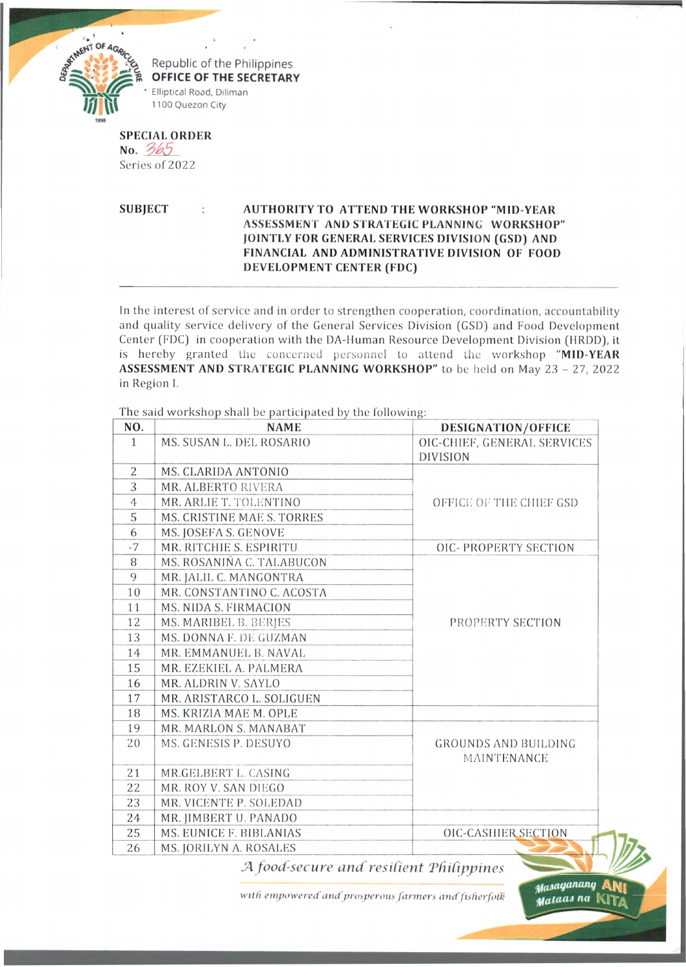

Republic of the Philippines **OFFICE OF THE SECRETARY** Elliptical Road, Diliman 1100 Quezon City

**SPECIAL ORDER** No. 365 Series of 2022

## **SUBJECT AUTHORITY TO ATTEND THE WORKSHOP "MID YEAR ASSESSMENT AND STRATEGIC PLANNING WORKSHOP" JOINTLY EOR GENERAL SERVICES DIVISION (GSD) AND FINANCIAL AND ADMINISTRATIVE DIVISION OF FOOD DEVELOPMENT CENTER (FDC)**

In the interest of service and in order to strengthen cooperation, coordination, accountability and quality service delivery of the General Services Division (GSD) and Food Development Center (FDC) in cooperation with the DA-Human Resource Development Division (HRDD), it is hereby granted the concerned personnel to attend the workshop **"MID-YEAR ASSESSMENT AND STRATEGIC PLANNING WORKSHOP"** to be held on May 23 - 27, 2022 in Region I.

The said workshop shall be participated by the following:

| NO.            | <b>NAME</b>                             | DESIGNATION/OFFICE                             |
|----------------|-----------------------------------------|------------------------------------------------|
| $\mathbf{1}$   | MS. SUSAN L. DEL ROSARIO                | OIC-CHIEF, GENERAL SERVICES<br><b>DIVISION</b> |
| $\overline{c}$ | <b>MS. CLARIDA ANTONIO</b>              |                                                |
| 3              | MR. ALBERTO RIVERA                      |                                                |
| 4              | MR. ARLIE T. TOLENTINO                  | OFFICE OF THE CHIEF GSD                        |
| 5              | MS. CRISTINE MAE S. TORRES              |                                                |
| 6              | MS. JOSEFA S. GENOVE                    |                                                |
| $-7$           | MR. RITCHIE S. ESPIRITU                 | OIC-PROPERTY SECTION                           |
| 8              | MS. ROSANIŃA C. TALABUCON               |                                                |
| 9              | MR. JALIL C. MANGONTRA                  |                                                |
| 10             | MR. CONSTANTINO C. ACOSTA               |                                                |
| 11             | MS. NIDA S. FIRMACION                   |                                                |
| 12             | MS. MARIBEL B. BERJES                   | PROPERTY SECTION                               |
| 13             | MS. DONNA F. DE GUZMAN                  |                                                |
| 14             | MR. EMMANUEL B. NAVAL                   |                                                |
| 15             | MR. EZEKIEL A. PALMERA                  |                                                |
| 16             | MR. ALDRIN V. SAYLO                     |                                                |
| 17             | MR. ARISTARCO L. SOLIGUEN               |                                                |
| 18             | MS. KRIZIA MAE M. OPLE                  |                                                |
| 19             | MR. MARLON S. MANABAT                   |                                                |
| 20             | MS. GENESIS P. DESUYO                   | <b>GROUNDS AND BUILDING</b><br>MAINTENANCE     |
| 21             | MR.GELBERT L. CASING                    |                                                |
| 22             | MR. ROY V. SAN DIEGO                    |                                                |
| 23             | MR. VICENTE P. SOLEDAD                  |                                                |
| 24             | MR. JIMBERT U. PANADO                   |                                                |
| 25             | MS. EUNICE F. BIBLANIAS                 | <b>OIC-CASHIER SECTION</b>                     |
| 26             | MS. JORILYN A. ROSALES                  |                                                |
|                | A food-secure and resilient Philippines |                                                |

with empowered and prosperous farmers and fisherfolk

*tfoMUiananq* **ANli no Rit a ,**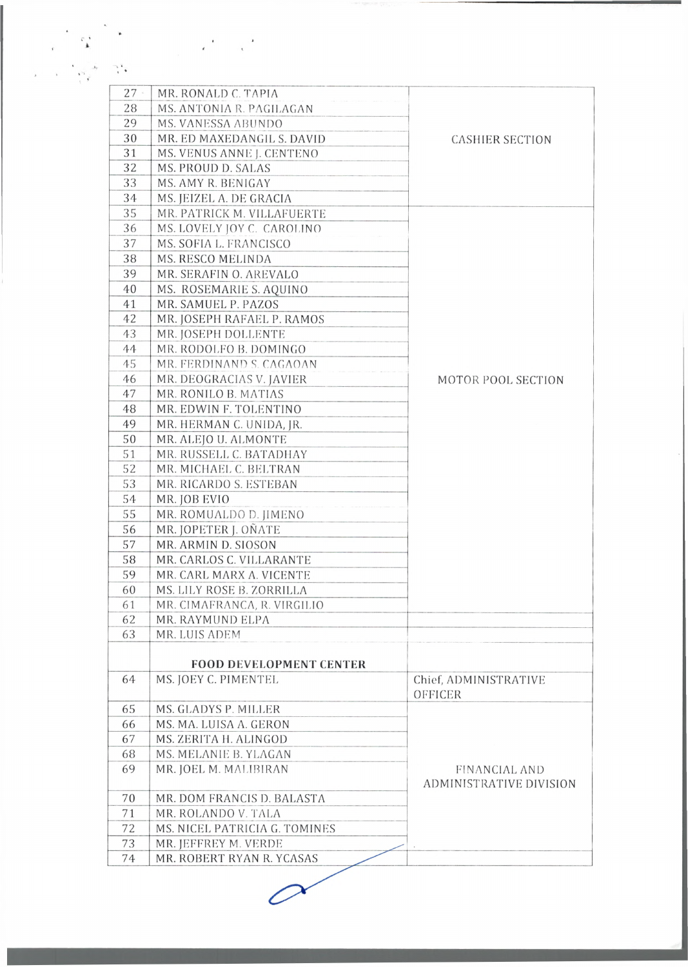| 27       | MR. RONALD C. TAPIA                            |                                                 |
|----------|------------------------------------------------|-------------------------------------------------|
| 28       | MS. ANTONIA R. PAGILAGAN                       |                                                 |
| 29       | MS. VANESSA ABUNDO                             |                                                 |
| 30       | MR. ED MAXEDANGIL S. DAVID                     | <b>CASHIER SECTION</b>                          |
| 31       | MS. VENUS ANNE J. CENTENO                      |                                                 |
| 32       | MS. PROUD D. SALAS                             |                                                 |
| 33       | MS. AMY R. BENIGAY                             |                                                 |
| 34       | MS. JEIZEL A. DE GRACIA                        |                                                 |
| 35       | MR. PATRICK M. VILLAFUERTE                     |                                                 |
| 36       | MS. LOVELY JOY C. CAROLINO                     |                                                 |
| 37       | MS. SOFIA L. FRANCISCO                         |                                                 |
| 38       | MS. RESCO MELINDA                              |                                                 |
| 39       | MR. SERAFIN O. AREVALO                         |                                                 |
| 40       | MS. ROSEMARIE S. AQUINO                        |                                                 |
| 41       | MR. SAMUEL P. PAZOS                            |                                                 |
| 42       | MR. JOSEPH RAFAEL P. RAMOS                     |                                                 |
| 43       | MR. JOSEPH DOLLENTE                            |                                                 |
| 44       | MR. RODOLFO B. DOMINGO                         |                                                 |
| 45       | MR. FERDINAND S. CAGAOAN                       |                                                 |
| 46       | MR. DEOGRACIAS V. JAVIER                       | MOTOR POOL SECTION                              |
| 47       | MR. RONILO B. MATIAS                           |                                                 |
| 48       | MR. EDWIN F. TOLENTINO                         |                                                 |
| 49       | MR. HERMAN C. UNIDA, JR.                       |                                                 |
| 50       | MR. ALEJO U. ALMONTE                           |                                                 |
| 51       | MR. RUSSELL C. BATADHAY                        |                                                 |
| 52       | MR. MICHAEL C. BELTRAN                         |                                                 |
| 53       | MR. RICARDO S. ESTEBAN                         |                                                 |
| 54<br>55 | MR. JOB EVIO                                   |                                                 |
| 56       | MR. ROMUALDO D. JIMENO<br>MR. JOPETER J. OÑATE |                                                 |
| 57       | MR. ARMIN D. SIOSON                            |                                                 |
| 58       | MR. CARLOS C. VILLARANTE                       |                                                 |
| 59       | MR. CARL MARX A. VICENTE                       |                                                 |
| 60       | MS. LILY ROSE B. ZORRILLA                      |                                                 |
| 61       | MR. CIMAFRANCA, R. VIRGILIO                    |                                                 |
| 62       | MR. RAYMUND ELPA                               |                                                 |
| 63       | MR. LUIS ADEM                                  |                                                 |
|          |                                                |                                                 |
|          | <b>FOOD DEVELOPMENT CENTER</b>                 |                                                 |
| 64       | MS. JOEY C. PIMENTEL                           | Chief, ADMINISTRATIVE<br>OFFICER                |
| 65       | MS. GLADYS P. MILLER                           |                                                 |
| 66       | MS. MA. LUISA A. GERON                         |                                                 |
| 67       | MS. ZERITA H. ALINGOD                          |                                                 |
| 68       | MS. MELANIE B. YLAGAN                          |                                                 |
| 69       | MR. JOEL M. MALIBIRAN                          | <b>FINANCIAL AND</b><br>ADMINISTRATIVE DIVISION |
| 70       | MR. DOM FRANCIS D. BALASTA                     |                                                 |
| 71       | MR. ROLANDO V. TALA                            |                                                 |
| 72       | MS. NICEL PATRICIA G. TOMINES                  |                                                 |
| 73       | MR. JEFFREY M. VERDE                           |                                                 |
| 74       | MR. ROBERT RYAN R. YCASAS                      |                                                 |

 $\curvearrowright$